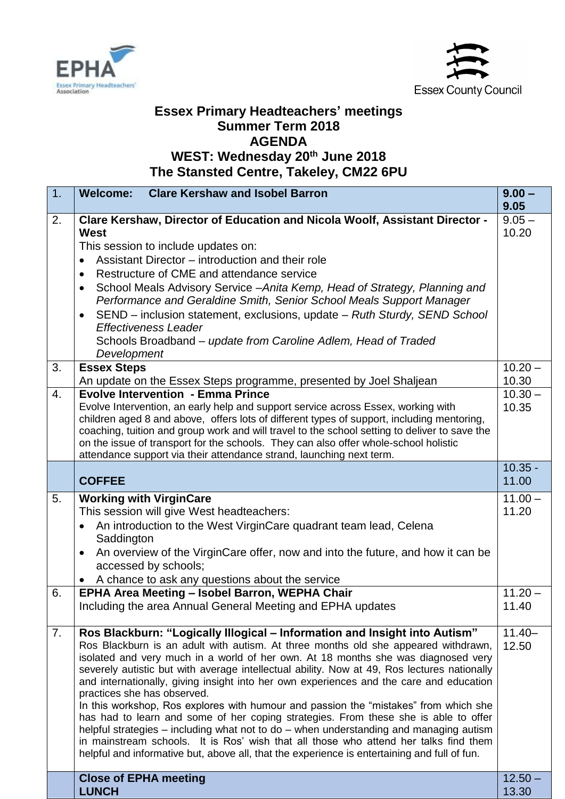



## **Essex Primary Headteachers' meetings Summer Term 2018 AGENDA WEST: Wednesday 20th June 2018**

**The Stansted Centre, Takeley, CM22 6PU** 

| 1.               | <b>Clare Kershaw and Isobel Barron</b><br><b>Welcome:</b>                                                                                                                             | $9.00 -$<br>9.05   |
|------------------|---------------------------------------------------------------------------------------------------------------------------------------------------------------------------------------|--------------------|
| 2.               | Clare Kershaw, Director of Education and Nicola Woolf, Assistant Director -<br>West                                                                                                   | $9.05 -$<br>10.20  |
|                  | This session to include updates on:                                                                                                                                                   |                    |
|                  | Assistant Director – introduction and their role<br>$\bullet$                                                                                                                         |                    |
|                  | Restructure of CME and attendance service<br>$\bullet$                                                                                                                                |                    |
|                  | School Meals Advisory Service - Anita Kemp, Head of Strategy, Planning and                                                                                                            |                    |
|                  | Performance and Geraldine Smith, Senior School Meals Support Manager                                                                                                                  |                    |
|                  | SEND - inclusion statement, exclusions, update - Ruth Sturdy, SEND School                                                                                                             |                    |
|                  | <b>Effectiveness Leader</b>                                                                                                                                                           |                    |
|                  | Schools Broadband – update from Caroline Adlem, Head of Traded<br>Development                                                                                                         |                    |
| 3.               | <b>Essex Steps</b>                                                                                                                                                                    | $10.20 -$          |
|                  | An update on the Essex Steps programme, presented by Joel Shaljean                                                                                                                    | 10.30              |
| $\overline{4}$ . | <b>Evolve Intervention - Emma Prince</b>                                                                                                                                              | $10.30 -$          |
|                  | Evolve Intervention, an early help and support service across Essex, working with                                                                                                     | 10.35              |
|                  | children aged 8 and above, offers lots of different types of support, including mentoring,                                                                                            |                    |
|                  | coaching, tuition and group work and will travel to the school setting to deliver to save the<br>on the issue of transport for the schools. They can also offer whole-school holistic |                    |
|                  | attendance support via their attendance strand, launching next term.                                                                                                                  |                    |
|                  |                                                                                                                                                                                       | $10.35 -$          |
|                  | <b>COFFEE</b>                                                                                                                                                                         | 11.00              |
| 5.               | <b>Working with VirginCare</b>                                                                                                                                                        | $11.00 -$          |
|                  | This session will give West headteachers:                                                                                                                                             | 11.20              |
|                  | An introduction to the West VirginCare quadrant team lead, Celena<br>Saddington                                                                                                       |                    |
|                  | An overview of the VirginCare offer, now and into the future, and how it can be                                                                                                       |                    |
|                  | accessed by schools;                                                                                                                                                                  |                    |
|                  | A chance to ask any questions about the service                                                                                                                                       |                    |
| 6.               | EPHA Area Meeting - Isobel Barron, WEPHA Chair                                                                                                                                        | $11.20 -$<br>11.40 |
|                  | Including the area Annual General Meeting and EPHA updates                                                                                                                            |                    |
| 7.               | Ros Blackburn: "Logically Illogical - Information and Insight into Autism"                                                                                                            | $11.40 -$          |
|                  | Ros Blackburn is an adult with autism. At three months old she appeared withdrawn,                                                                                                    | 12.50              |
|                  | isolated and very much in a world of her own. At 18 months she was diagnosed very                                                                                                     |                    |
|                  | severely autistic but with average intellectual ability. Now at 49, Ros lectures nationally                                                                                           |                    |
|                  | and internationally, giving insight into her own experiences and the care and education<br>practices she has observed.                                                                |                    |
|                  | In this workshop, Ros explores with humour and passion the "mistakes" from which she                                                                                                  |                    |
|                  | has had to learn and some of her coping strategies. From these she is able to offer                                                                                                   |                    |
|                  | helpful strategies – including what not to do – when understanding and managing autism                                                                                                |                    |
|                  | in mainstream schools. It is Ros' wish that all those who attend her talks find them<br>helpful and informative but, above all, that the experience is entertaining and full of fun.  |                    |
|                  |                                                                                                                                                                                       |                    |
|                  | <b>Close of EPHA meeting</b>                                                                                                                                                          | $12.50 -$          |
|                  | <b>LUNCH</b>                                                                                                                                                                          | 13.30              |